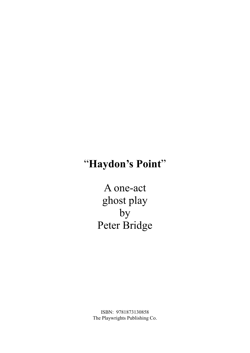# "**Haydon's Point**"

A one-act ghost play  $by$ Peter Bridge

ISBN: 9781873130858 The Playwrights Publishing Co.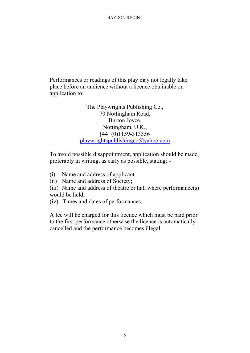Performances or readings of this play may not legally take place before an audience without a licence obtainable on application to:

> The Playwrights Publishing Co., 70 Nottingham Road, Burton Joyce, Nottingham, U.K., [44] (0)1159-313356 playwrightspublishingco@yahoo.com

To avoid possible disappointment, application should be made, preferably in writing, as early as possible, stating: -

(i) Name and address of applicant

(ii) Name and address of Society;

(iii) Name and address of theatre or hall where performance(s) would be held;

(iv) Times and dates of performances.

A fee will be charged for this licence which must be paid prior to the first performance otherwise the licence is automatically cancelled and the performance becomes illegal.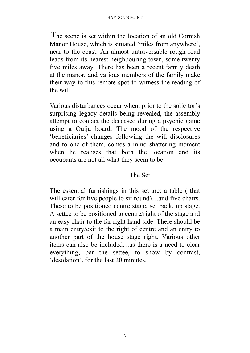The scene is set within the location of an old Cornish Manor House, which is situated 'miles from anywhere', near to the coast. An almost untraversable rough road leads from its nearest neighbouring town, some twenty five miles away. There has been a recent family death at the manor, and various members of the family make their way to this remote spot to witness the reading of the will.

Various disturbances occur when, prior to the solicitor's surprising legacy details being revealed, the assembly attempt to contact the deceased during a psychic game using a Ouija board. The mood of the respective 'beneficiaries' changes following the will disclosures and to one of them, comes a mind shattering moment when he realises that both the location and its occupants are not all what they seem to be.

# The Set

The essential furnishings in this set are: a table ( that will cater for five people to sit round)…and five chairs. These to be positioned centre stage, set back, up stage. A settee to be positioned to centre/right of the stage and an easy chair to the far right hand side. There should be a main entry/exit to the right of centre and an entry to another part of the house stage right. Various other items can also be included…as there is a need to clear everything, bar the settee, to show by contrast, 'desolation', for the last 20 minutes.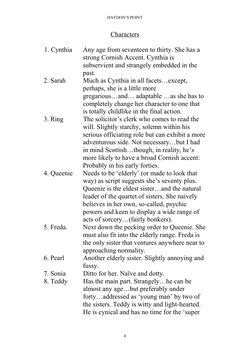# **Characters**

| 1. Cynthia | Any age from seventeen to thirty. She has a     |
|------------|-------------------------------------------------|
|            | strong Cornish Accent. Cynthia is               |
|            | subservient and strangely embedded in the       |
|            | past.                                           |
| 2. Sarah   | Much as Cynthia in all facetsexcept,            |
|            | perhaps, she is a little more                   |
|            | gregariousand adaptable as she has to           |
|            | completely change her character to one that     |
|            | is totally childlike in the final action.       |
| 3. Ring    | The solicitor's clerk who comes to read the     |
|            | will. Slightly starchy, solemn within his       |
|            | serious officiating role but can exhibit a more |
|            | adventurous side. Not necessarybut I had        |
|            | in mind Scottishthough, in reality, he's        |
|            | more likely to have a broad Cornish accent:     |
|            | Probably in his early forties.                  |
| 4. Queenie | Needs to be 'elderly' (or made to look that     |
|            | way) as script suggests she's seventy plus.     |
|            | Queenie is the eldest sisterand the natural     |
|            | leader of the quartet of sisters. She naively   |
|            | believes in her own, so-called, psychic         |
|            | powers and keen to display a wide range of      |
|            | acts of sorcery(fairly bonkers).                |
| 5. Freda.  | Next down the pecking order to Queenie. She     |
|            | must also fit into the elderly range. Freda is  |
|            | the only sister that ventures anywhere near to  |
|            | approaching normality.                          |
| 6. Pearl   | Another elderly sister. Slightly annoying and   |
|            | fussy.                                          |
| 7. Sonia   | Ditto for her. Naïve and dotty.                 |
| 8. Teddy   | Has the main part. Strangely he can be          |
|            | almost any agebut preferably under              |
|            | fortyaddressed as 'young man' by two of         |
|            | the sisters. Teddy is witty and light-hearted.  |
|            | He is cynical and has no time for the 'super    |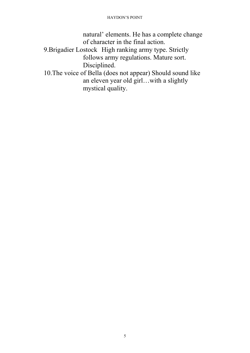natural' elements. He has a complete change of character in the final action.

- 9.Brigadier Lostock High ranking army type. Strictly follows army regulations. Mature sort. Disciplined.
- 10.The voice of Bella (does not appear) Should sound like an eleven year old girl…with a slightly mystical quality.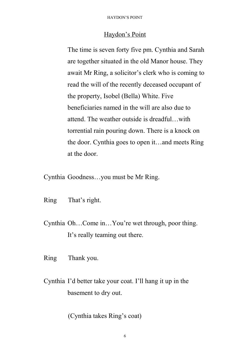### Haydon's Point

The time is seven forty five pm. Cynthia and Sarah are together situated in the old Manor house. They await Mr Ring, a solicitor's clerk who is coming to read the will of the recently deceased occupant of the property, Isobel (Bella) White. Five beneficiaries named in the will are also due to attend. The weather outside is dreadful…with torrential rain pouring down. There is a knock on the door. Cynthia goes to open it…and meets Ring at the door.

Cynthia Goodness…you must be Mr Ring.

- Ring That's right.
- Cynthia Oh…Come in…You're wet through, poor thing. It's really teaming out there.
- Ring Thank you.
- Cynthia I'd better take your coat. I'll hang it up in the basement to dry out.

(Cynthia takes Ring's coat)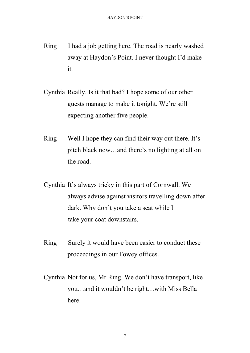- Ring I had a job getting here. The road is nearly washed away at Haydon's Point. I never thought I'd make it.
- Cynthia Really. Is it that bad? I hope some of our other guests manage to make it tonight. We're still expecting another five people.
- Ring Well I hope they can find their way out there. It's pitch black now…and there's no lighting at all on the road.
- Cynthia It's always tricky in this part of Cornwall. We always advise against visitors travelling down after dark. Why don't you take a seat while I take your coat downstairs.
- Ring Surely it would have been easier to conduct these proceedings in our Fowey offices.
- Cynthia Not for us, Mr Ring. We don't have transport, like you…and it wouldn't be right…with Miss Bella here.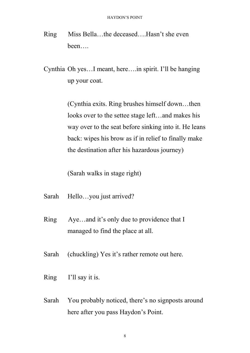Ring Miss Bella…the deceased….Hasn't she even been….

Cynthia Oh yes…I meant, here….in spirit. I'll be hanging up your coat.

> (Cynthia exits. Ring brushes himself down…then looks over to the settee stage left…and makes his way over to the seat before sinking into it. He leans back: wipes his brow as if in relief to finally make the destination after his hazardous journey)

(Sarah walks in stage right)

- Sarah Hello…you just arrived?
- Ring Aye…and it's only due to providence that I managed to find the place at all.
- Sarah (chuckling) Yes it's rather remote out here.
- Ring I'll say it is.
- Sarah You probably noticed, there's no signposts around here after you pass Haydon's Point.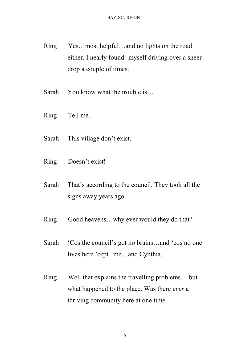- Ring Yes…most helpful…and no lights on the road either. I nearly found myself driving over a sheer drop a couple of times.
- Sarah You know what the trouble is...
- Ring Tell me.
- Sarah This village don't exist.
- Ring Doesn't exist!
- Sarah That's according to the council. They took all the signs away years ago.
- Ring Good heavens...why ever would they do that?
- Sarah 'Cos the council's got no brains…and 'cos no one lives here 'cept me…and Cynthia.
- Ring Well that explains the travelling problems….but what happened to the place. Was there *ever* a thriving community here at one time.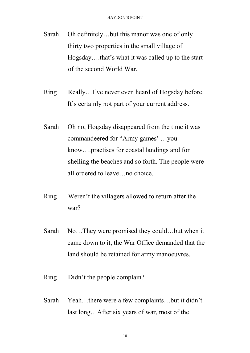- Sarah Oh definitely…but this manor was one of only thirty two properties in the small village of Hogsday….that's what it was called up to the start of the second World War.
- Ring Really...I've never even heard of Hogsday before. It's certainly not part of your current address.
- Sarah Oh no, Hogsday disappeared from the time it was commandeered for "Army games' …you know….practises for coastal landings and for shelling the beaches and so forth. The people were all ordered to leave…no choice.
- Ring Weren't the villagers allowed to return after the war?
- Sarah No...They were promised they could...but when it came down to it, the War Office demanded that the land should be retained for army manoeuvres.
- Ring Didn't the people complain?
- Sarah Yeah…there were a few complaints…but it didn't last long…After six years of war, most of the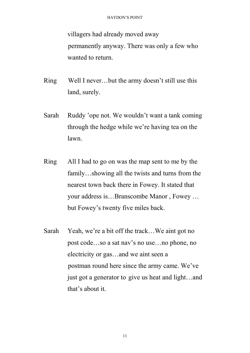villagers had already moved away permanently anyway. There was only a few who wanted to return.

- Ring Well I never…but the army doesn't still use this land, surely.
- Sarah Ruddy 'ope not. We wouldn't want a tank coming through the hedge while we're having tea on the lawn.
- Ring All I had to go on was the map sent to me by the family…showing all the twists and turns from the nearest town back there in Fowey. It stated that your address is…Branscombe Manor , Fowey … but Fowey's twenty five miles back.
- Sarah Yeah, we're a bit off the track…We aint got no post code…so a sat nav's no use…no phone, no electricity or gas…and we aint seen a postman round here since the army came. We've just got a generator to give us heat and light…and that's about it.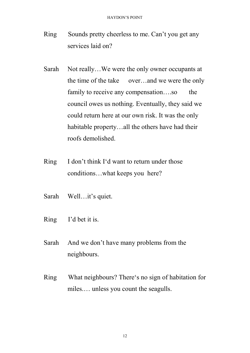- Ring Sounds pretty cheerless to me. Can't you get any services laid on?
- Sarah Not really...We were the only owner occupants at the time of the take over...and we were the only family to receive any compensation....so the council owes us nothing. Eventually, they said we could return here at our own risk. It was the only habitable property…all the others have had their roofs demolished.
- Ring I don't think I'd want to return under those conditions…what keeps you here?
- Sarah Well…it's quiet.
- Ring I'd bet it is.
- Sarah And we don't have many problems from the neighbours.
- Ring What neighbours? There's no sign of habitation for miles.… unless you count the seagulls.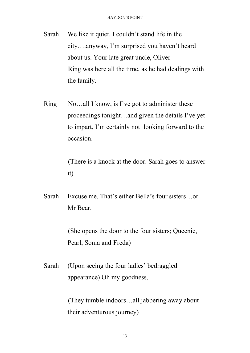- Sarah We like it quiet. I couldn't stand life in the city….anyway, I'm surprised you haven't heard about us. Your late great uncle, Oliver Ring was here all the time, as he had dealings with the family.
- Ring No…all I know, is I've got to administer these proceedings tonight…and given the details I've yet to impart, I'm certainly not looking forward to the occasion.

(There is a knock at the door. Sarah goes to answer it)

Sarah Excuse me. That's either Bella's four sisters…or Mr Bear.

> (She opens the door to the four sisters; Queenie, Pearl, Sonia and Freda)

Sarah (Upon seeing the four ladies' bedraggled appearance) Oh my goodness,

> (They tumble indoors…all jabbering away about their adventurous journey)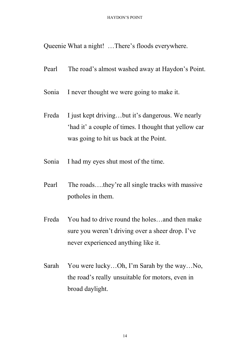Queenie What a night! …There's floods everywhere.

- Pearl The road's almost washed away at Haydon's Point.
- Sonia I never thought we were going to make it.
- Freda I just kept driving...but it's dangerous. We nearly 'had it' a couple of times. I thought that yellow car was going to hit us back at the Point.
- Sonia I had my eyes shut most of the time.
- Pearl The roads….they're all single tracks with massive potholes in them.
- Freda You had to drive round the holes…and then make sure you weren't driving over a sheer drop. I've never experienced anything like it.
- Sarah You were lucky…Oh, I'm Sarah by the way…No, the road's really unsuitable for motors, even in broad daylight.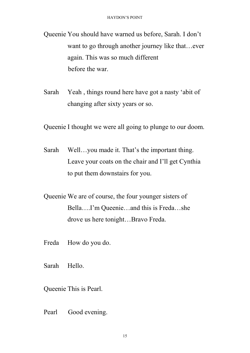Queenie You should have warned us before, Sarah. I don't want to go through another journey like that...ever again. This was so much different before the war.

Sarah Yeah , things round here have got a nasty 'abit of changing after sixty years or so.

Queenie I thought we were all going to plunge to our doom.

- Sarah Well…you made it. That's the important thing. Leave your coats on the chair and I'll get Cynthia to put them downstairs for you.
- Queenie We are of course, the four younger sisters of Bella….I'm Queenie…and this is Freda…she drove us here tonight…Bravo Freda.
- Freda How do you do.
- Sarah Hello.
- Queenie This is Pearl.
- Pearl Good evening.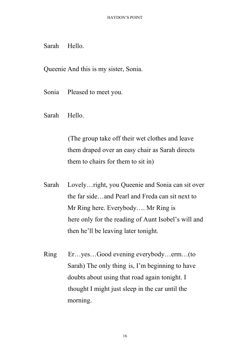# Sarah Hello.

Queenie And this is my sister, Sonia.

- Sonia Pleased to meet you.
- Sarah Hello.

(The group take off their wet clothes and leave them draped over an easy chair as Sarah directs them to chairs for them to sit in)

- Sarah Lovely…right, you Queenie and Sonia can sit over the far side…and Pearl and Freda can sit next to Mr Ring here. Everybody…. Mr Ring is here only for the reading of Aunt Isobel's will and then he'll be leaving later tonight.
- Ring Er…yes…Good evening everybody…erm…(to Sarah) The only thing is, I'm beginning to have doubts about using that road again tonight. I thought I might just sleep in the car until the morning.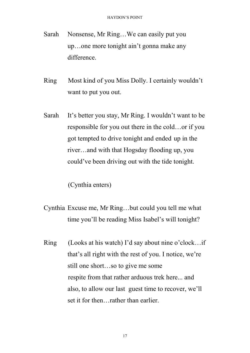- Sarah Nonsense, Mr Ring…We can easily put you up…one more tonight ain't gonna make any difference.
- Ring Most kind of you Miss Dolly. I certainly wouldn't want to put you out.
- Sarah It's better you stay, Mr Ring. I wouldn't want to be responsible for you out there in the cold…or if you got tempted to drive tonight and ended up in the river…and with that Hogsday flooding up, you could've been driving out with the tide tonight.

(Cynthia enters)

- Cynthia Excuse me, Mr Ring…but could you tell me what time you'll be reading Miss Isabel's will tonight?
- Ring (Looks at his watch) I'd say about nine o'clock…if that's all right with the rest of you. I notice, we're still one short…so to give me some respite from that rather arduous trek here... and also, to allow our last guest time to recover, we'll set it for then…rather than earlier.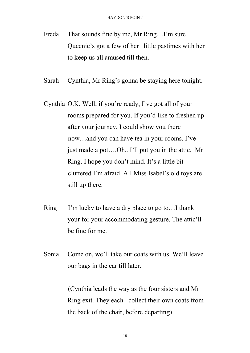- Freda That sounds fine by me, Mr Ring...I'm sure Queenie's got a few of her little pastimes with her to keep us all amused till then.
- Sarah Cynthia, Mr Ring's gonna be staying here tonight.
- Cynthia O.K. Well, if you're ready, I've got all of your rooms prepared for you. If you'd like to freshen up after your journey, I could show you there now…and you can have tea in your rooms. I've just made a pot….Oh.. I'll put you in the attic, Mr Ring. I hope you don't mind. It's a little bit cluttered I'm afraid. All Miss Isabel's old toys are still up there.
- Ring I'm lucky to have a dry place to go to…I thank your for your accommodating gesture. The attic'll be fine for me.
- Sonia Come on, we'll take our coats with us. We'll leave our bags in the car till later.

(Cynthia leads the way as the four sisters and Mr Ring exit. They each collect their own coats from the back of the chair, before departing)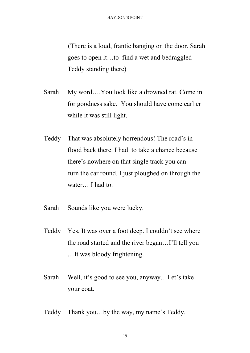(There is a loud, frantic banging on the door. Sarah goes to open it…to find a wet and bedraggled Teddy standing there)

- Sarah My word….You look like a drowned rat. Come in for goodness sake. You should have come earlier while it was still light.
- Teddy That was absolutely horrendous! The road's in flood back there. I had to take a chance because there's nowhere on that single track you can turn the car round. I just ploughed on through the water… I had to.
- Sarah Sounds like you were lucky.
- Teddy Yes, It was over a foot deep. I couldn't see where the road started and the river began…I'll tell you …It was bloody frightening.
- Sarah Well, it's good to see you, anyway…Let's take your coat.
- Teddy Thank you…by the way, my name's Teddy.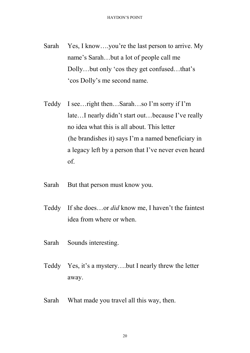- Sarah Yes, I know....you're the last person to arrive. My name's Sarah…but a lot of people call me Dolly…but only 'cos they get confused…that's 'cos Dolly's me second name.
- Teddy I see…right then…Sarah…so I'm sorry if I'm late…I nearly didn't start out…because I've really no idea what this is all about. This letter (he brandishes it) says I'm a named beneficiary in a legacy left by a person that I've never even heard of.
- Sarah But that person must know you.
- Teddy If she does…or *did* know me, I haven't the faintest idea from where or when.
- Sarah Sounds interesting.
- Teddy Yes, it's a mystery….but I nearly threw the letter away.
- Sarah What made you travel all this way, then.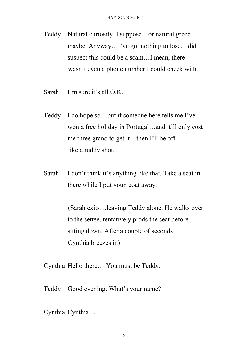- Teddy Natural curiosity, I suppose…or natural greed maybe. Anyway…I've got nothing to lose. I did suspect this could be a scam…I mean, there wasn't even a phone number I could check with.
- Sarah I'm sure it's all O.K.
- Teddy I do hope so…but if someone here tells me I've won a free holiday in Portugal…and it'll only cost me three grand to get it…then I'll be off like a ruddy shot.
- Sarah I don't think it's anything like that. Take a seat in there while I put your coat away.

(Sarah exits…leaving Teddy alone. He walks over to the settee, tentatively prods the seat before sitting down. After a couple of seconds Cynthia breezes in)

Cynthia Hello there….You must be Teddy.

Teddy Good evening. What's your name?

Cynthia Cynthia…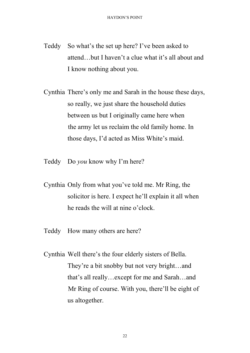- Teddy So what's the set up here? I've been asked to attend…but I haven't a clue what it's all about and I know nothing about you.
- Cynthia There's only me and Sarah in the house these days, so really, we just share the household duties between us but I originally came here when the army let us reclaim the old family home. In those days, I'd acted as Miss White's maid.
- Teddy Do *you* know why I'm here?
- Cynthia Only from what you've told me. Mr Ring, the solicitor is here. I expect he'll explain it all when he reads the will at nine o'clock.
- Teddy How many others are here?
- Cynthia Well there's the four elderly sisters of Bella. They're a bit snobby but not very bright…and that's all really…except for me and Sarah…and Mr Ring of course. With you, there'll be eight of us altogether.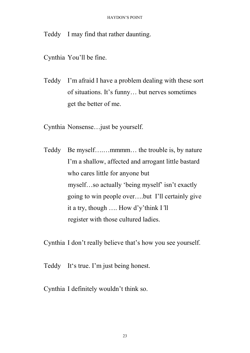Teddy I may find that rather daunting.

Cynthia You'll be fine.

Teddy I'm afraid I have a problem dealing with these sort of situations. It's funny… but nerves sometimes get the better of me.

Cynthia Nonsense…just be yourself.

Teddy Be myself….…mmmm… the trouble is, by nature I'm a shallow, affected and arrogant little bastard who cares little for anyone but myself…so actually 'being myself' isn't exactly going to win people over….but I'll certainly give it a try, though …. How d'y'think I*'*ll register with those cultured ladies.

Cynthia I don't really believe that's how you see yourself.

Teddy It's true. I'm just being honest.

Cynthia I definitely wouldn't think so.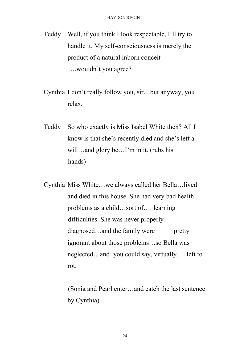- Teddy Well, if you think I look respectable, I'll try to handle it. My self-consciousness is merely the product of a natural inborn conceit ….wouldn't you agree?
- Cynthia I don't really follow you, sir…but anyway, you relax.
- Teddy So who exactly is Miss Isabel White then? All I know is that she's recently died and she's left a will…and glory be…I'm in it. (rubs his hands)
- Cynthia Miss White…we always called her Bella…lived and died in this house. She had very bad health problems as a child…sort of…. learning difficulties. She was never properly diagnosed...and the family were pretty ignorant about those problems…so Bella was neglected…and you could say, virtually…. left to rot.

(Sonia and Pearl enter…and catch the last sentence by Cynthia)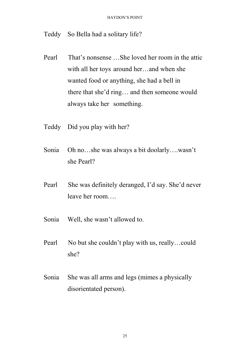Teddy So Bella had a solitary life?

- Pearl That's nonsense …She loved her room in the attic with all her toys around her…and when she wanted food or anything, she had a bell in there that she'd ring… and then someone would always take her something.
- Teddy Did you play with her?
- Sonia Oh no…she was always a bit doolarly….wasn't she Pearl?
- Pearl She was definitely deranged, I'd say. She'd never leave her room….
- Sonia Well, she wasn't allowed to.
- Pearl No but she couldn't play with us, really...could she?
- Sonia She was all arms and legs (mimes a physically disorientated person).